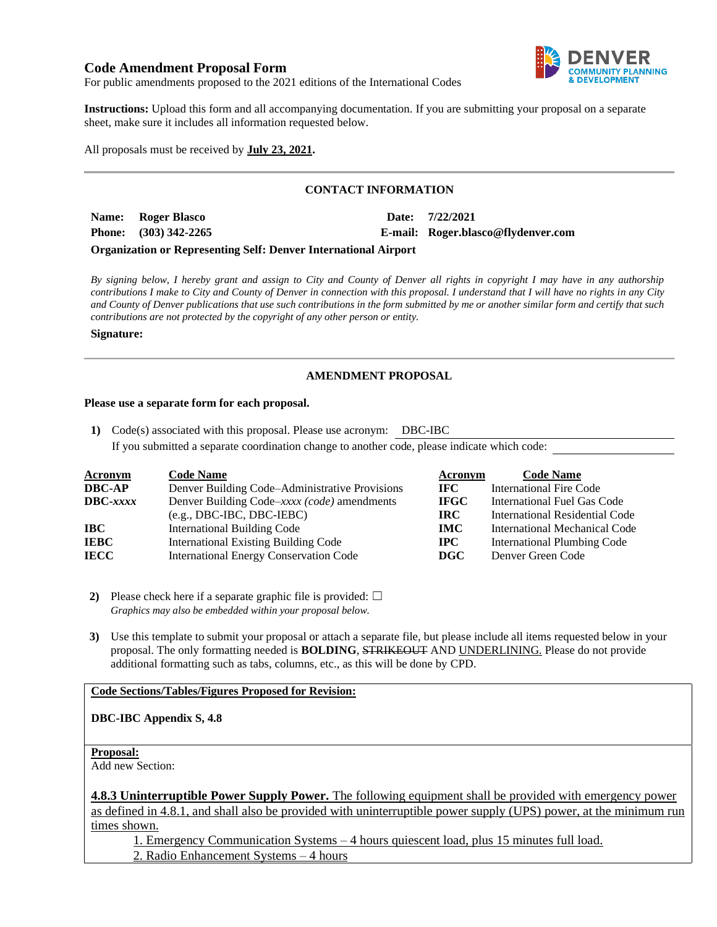# **Code Amendment Proposal Form**



For public amendments proposed to the 2021 editions of the International Codes

**Instructions:** Upload this form and all accompanying documentation. If you are submitting your proposal on a separate sheet, make sure it includes all information requested below.

All proposals must be received by **July 23, 2021.**

# **CONTACT INFORMATION**

| Name: Roger Blasco      |  |  | Date: 7/22/2021                    |
|-------------------------|--|--|------------------------------------|
| Phone: $(303)$ 342-2265 |  |  | E-mail: Roger.blasco@flydenver.com |
|                         |  |  |                                    |

### **Organization or Representing Self: Denver International Airport**

*By signing below, I hereby grant and assign to City and County of Denver all rights in copyright I may have in any authorship contributions I make to City and County of Denver in connection with this proposal. I understand that I will have no rights in any City and County of Denver publications that use such contributions in the form submitted by me or another similar form and certify that such contributions are not protected by the copyright of any other person or entity.* 

#### **Signature:**

# **AMENDMENT PROPOSAL**

#### **Please use a separate form for each proposal.**

**1)** Code(s) associated with this proposal. Please use acronym: DBC-IBC If you submitted a separate coordination change to another code, please indicate which code:

| <b>Acronym</b>    | <b>Code Name</b>                               | Acronym      | <b>Code Name</b>                   |
|-------------------|------------------------------------------------|--------------|------------------------------------|
| <b>DBC-AP</b>     | Denver Building Code–Administrative Provisions | IFC -        | <b>International Fire Code</b>     |
| $\text{DBC}-xxxx$ | Denver Building Code–xxxx (code) amendments    | <b>IFGC</b>  | International Fuel Gas Code        |
|                   | $(e.g., DBC-IBC, DBC-IEBC)$                    | IRC.         | International Residential Code     |
| IBC               | International Building Code                    | <b>IMC</b>   | International Mechanical Code      |
| <b>IEBC</b>       | <b>International Existing Building Code</b>    | $_{\rm IPC}$ | <b>International Plumbing Code</b> |
| <b>IECC</b>       | <b>International Energy Conservation Code</b>  | DGC          | Denver Green Code                  |

**2)** Please check here if a separate graphic file is provided:  $\Box$ *Graphics may also be embedded within your proposal below.*

**3)** Use this template to submit your proposal or attach a separate file, but please include all items requested below in your proposal. The only formatting needed is **BOLDING**, STRIKEOUT AND UNDERLINING. Please do not provide additional formatting such as tabs, columns, etc., as this will be done by CPD.

### **Code Sections/Tables/Figures Proposed for Revision:**

**DBC-IBC Appendix S, 4.8**

### **Proposal:**

Add new Section:

**4.8.3 Uninterruptible Power Supply Power.** The following equipment shall be provided with emergency power as defined in 4.8.1, and shall also be provided with uninterruptible power supply (UPS) power, at the minimum run times shown.

1. Emergency Communication Systems – 4 hours quiescent load, plus 15 minutes full load.

2. Radio Enhancement Systems – 4 hours